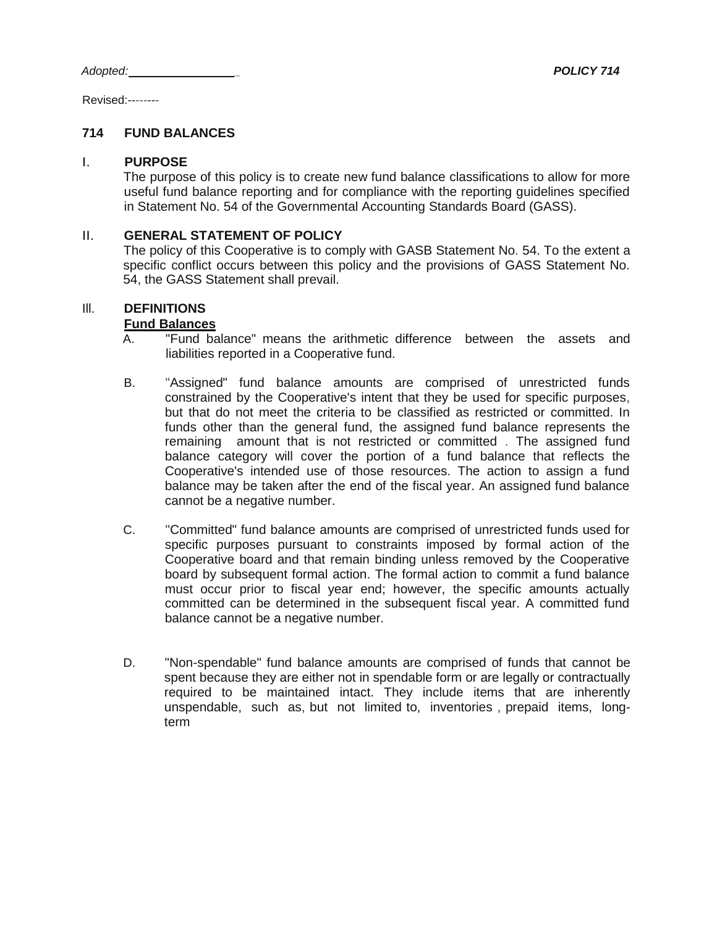Revised:--------

## **714 FUND BALANCES**

#### I. **PURPOSE**

The purpose of this policy is to create new fund balance classifications to allow for more useful fund balance reporting and for compliance with the reporting guidelines specified in Statement No. 54 of the Governmental Accounting Standards Board (GASS).

### II. **GENERAL STATEMENT OF POLICY**

The policy of this Cooperative is to comply with GASB Statement No. 54. To the extent a specific conflict occurs between this policy and the provisions of GASS Statement No. 54, the GASS Statement shall prevail.

## Ill. **DEFINITIONS**

### **Fund Balances**

- A. "Fund balance" means the arithmetic difference between the assets and liabilities reported in a Cooperative fund.
- B. "Assigned" fund balance amounts are comprised of unrestricted funds constrained by the Cooperative's intent that they be used for specific purposes, but that do not meet the criteria to be classified as restricted or committed. In funds other than the general fund, the assigned fund balance represents the remaining amount that is not restricted or committed . The assigned fund balance category will cover the portion of a fund balance that reflects the Cooperative's intended use of those resources. The action to assign a fund balance may be taken after the end of the fiscal year. An assigned fund balance cannot be a negative number.
- C. "Committed" fund balance amounts are comprised of unrestricted funds used for specific purposes pursuant to constraints imposed by formal action of the Cooperative board and that remain binding unless removed by the Cooperative board by subsequent formal action. The formal action to commit a fund balance must occur prior to fiscal year end; however, the specific amounts actually committed can be determined in the subsequent fiscal year. A committed fund balance cannot be a negative number.
- D. "Non-spendable" fund balance amounts are comprised of funds that cannot be spent because they are either not in spendable form or are legally or contractually required to be maintained intact. They include items that are inherently unspendable, such as, but not limited to, inventories , prepaid items, longterm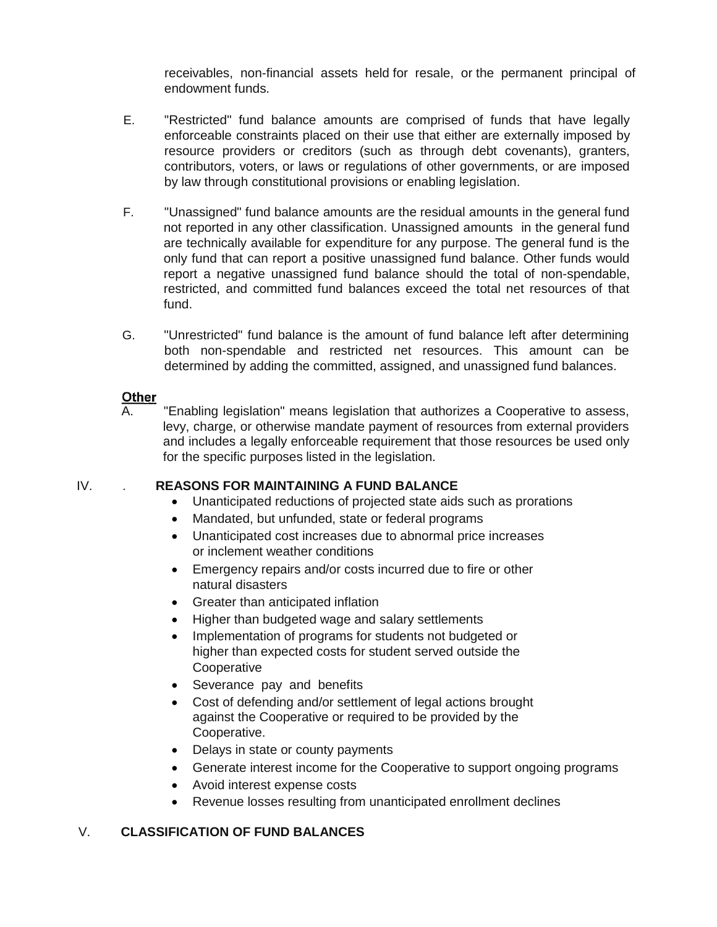receivables, non-financial assets held for resale, or the permanent principal of endowment funds.

- E. "Restricted" fund balance amounts are comprised of funds that have legally enforceable constraints placed on their use that either are externally imposed by resource providers or creditors (such as through debt covenants), granters, contributors, voters, or laws or regulations of other governments, or are imposed by law through constitutional provisions or enabling legislation.
- F. "Unassigned" fund balance amounts are the residual amounts in the general fund not reported in any other classification. Unassigned amounts in the general fund are technically available for expenditure for any purpose. The general fund is the only fund that can report a positive unassigned fund balance. Other funds would report a negative unassigned fund balance should the total of non-spendable, restricted, and committed fund balances exceed the total net resources of that fund.
- G. "Unrestricted" fund balance is the amount of fund balance left after determining both non-spendable and restricted net resources. This amount can be determined by adding the committed, assigned, and unassigned fund balances.

# **Other**

A. "Enabling legislation" means legislation that authorizes a Cooperative to assess, levy, charge, or otherwise mandate payment of resources from external providers and includes a legally enforceable requirement that those resources be used only for the specific purposes listed in the legislation.

## IV. . **REASONS FOR MAINTAINING A FUND BALANCE**

- Unanticipated reductions of projected state aids such as prorations
- Mandated, but unfunded, state or federal programs
- Unanticipated cost increases due to abnormal price increases or inclement weather conditions
- Emergency repairs and/or costs incurred due to fire or other natural disasters
- Greater than anticipated inflation
- Higher than budgeted wage and salary settlements
- Implementation of programs for students not budgeted or higher than expected costs for student served outside the **Cooperative**
- Severance pay and benefits
- Cost of defending and/or settlement of legal actions brought against the Cooperative or required to be provided by the Cooperative.
- Delays in state or county payments
- Generate interest income for the Cooperative to support ongoing programs
- Avoid interest expense costs
- Revenue losses resulting from unanticipated enrollment declines

# V. **CLASSIFICATION OF FUND BALANCES**